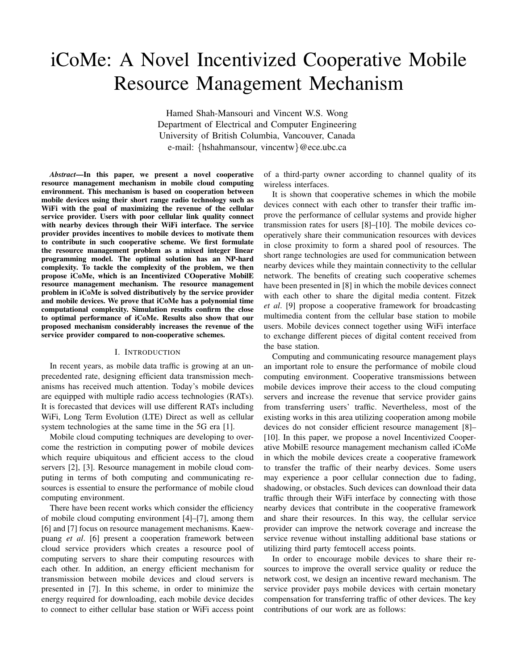# iCoMe: A Novel Incentivized Cooperative Mobile Resource Management Mechanism

Hamed Shah-Mansouri and Vincent W.S. Wong Department of Electrical and Computer Engineering University of British Columbia, Vancouver, Canada e-mail: *{*hshahmansour, vincentw*}*@ece.ubc.ca

*Abstract*—In this paper, we present a novel cooperative resource management mechanism in mobile cloud computing environment. This mechanism is based on cooperation between mobile devices using their short range radio technology such as WiFi with the goal of maximizing the revenue of the cellular service provider. Users with poor cellular link quality connect with nearby devices through their WiFi interface. The service provider provides incentives to mobile devices to motivate them to contribute in such cooperative scheme. We first formulate the resource management problem as a mixed integer linear programming model. The optimal solution has an NP-hard complexity. To tackle the complexity of the problem, we then propose iCoMe, which is an Incentivized COoperative MobilE resource management mechanism. The resource management problem in iCoMe is solved distributively by the service provider and mobile devices. We prove that iCoMe has a polynomial time computational complexity. Simulation results confirm the close to optimal performance of iCoMe. Results also show that our proposed mechanism considerably increases the revenue of the service provider compared to non-cooperative schemes.

#### I. INTRODUCTION

In recent years, as mobile data traffic is growing at an unprecedented rate, designing efficient data transmission mechanisms has received much attention. Today's mobile devices are equipped with multiple radio access technologies (RATs). It is forecasted that devices will use different RATs including WiFi, Long Term Evolution (LTE) Direct as well as cellular system technologies at the same time in the 5G era [1].

Mobile cloud computing techniques are developing to overcome the restriction in computing power of mobile devices which require ubiquitous and efficient access to the cloud servers [2], [3]. Resource management in mobile cloud computing in terms of both computing and communicating resources is essential to ensure the performance of mobile cloud computing environment.

There have been recent works which consider the efficiency of mobile cloud computing environment [4]–[7], among them [6] and [7] focus on resource management mechanisms. Kaewpuang *et al*. [6] present a cooperation framework between cloud service providers which creates a resource pool of computing servers to share their computing resources with each other. In addition, an energy efficient mechanism for transmission between mobile devices and cloud servers is presented in [7]. In this scheme, in order to minimize the energy required for downloading, each mobile device decides to connect to either cellular base station or WiFi access point

of a third-party owner according to channel quality of its wireless interfaces.

It is shown that cooperative schemes in which the mobile devices connect with each other to transfer their traffic improve the performance of cellular systems and provide higher transmission rates for users [8]–[10]. The mobile devices cooperatively share their communication resources with devices in close proximity to form a shared pool of resources. The short range technologies are used for communication between nearby devices while they maintain connectivity to the cellular network. The benefits of creating such cooperative schemes have been presented in [8] in which the mobile devices connect with each other to share the digital media content. Fitzek *et al*. [9] propose a cooperative framework for broadcasting multimedia content from the cellular base station to mobile users. Mobile devices connect together using WiFi interface to exchange different pieces of digital content received from the base station.

Computing and communicating resource management plays an important role to ensure the performance of mobile cloud computing environment. Cooperative transmissions between mobile devices improve their access to the cloud computing servers and increase the revenue that service provider gains from transferring users' traffic. Nevertheless, most of the existing works in this area utilizing cooperation among mobile devices do not consider efficient resource management [8]– [10]. In this paper, we propose a novel Incentivized Cooperative MobilE resource management mechanism called iCoMe in which the mobile devices create a cooperative framework to transfer the traffic of their nearby devices. Some users may experience a poor cellular connection due to fading, shadowing, or obstacles. Such devices can download their data traffic through their WiFi interface by connecting with those nearby devices that contribute in the cooperative framework and share their resources. In this way, the cellular service provider can improve the network coverage and increase the service revenue without installing additional base stations or utilizing third party femtocell access points.

In order to encourage mobile devices to share their resources to improve the overall service quality or reduce the network cost, we design an incentive reward mechanism. The service provider pays mobile devices with certain monetary compensation for transferring traffic of other devices. The key contributions of our work are as follows: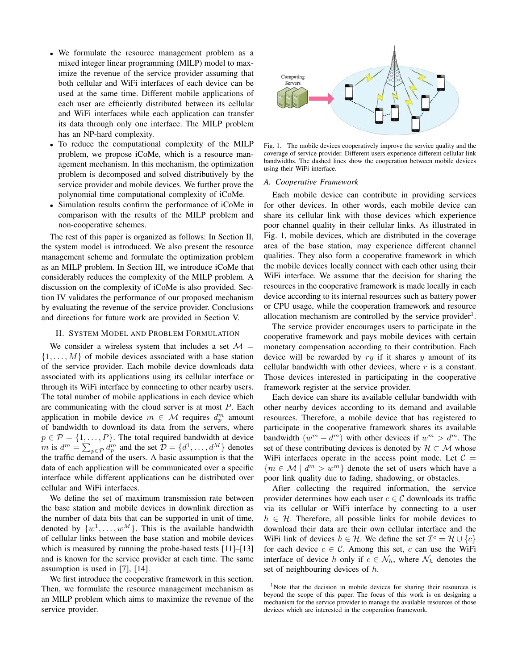- We formulate the resource management problem as a mixed integer linear programming (MILP) model to maximize the revenue of the service provider assuming that both cellular and WiFi interfaces of each device can be used at the same time. Different mobile applications of each user are efficiently distributed between its cellular and WiFi interfaces while each application can transfer its data through only one interface. The MILP problem has an NP-hard complexity.
- To reduce the computational complexity of the MILP problem, we propose iCoMe, which is a resource management mechanism. In this mechanism, the optimization problem is decomposed and solved distributively by the service provider and mobile devices. We further prove the polynomial time computational complexity of iCoMe.
- Simulation results confirm the performance of iCoMe in comparison with the results of the MILP problem and non-cooperative schemes.

The rest of this paper is organized as follows: In Section II, the system model is introduced. We also present the resource management scheme and formulate the optimization problem as an MILP problem. In Section III, we introduce iCoMe that considerably reduces the complexity of the MILP problem. A discussion on the complexity of iCoMe is also provided. Section IV validates the performance of our proposed mechanism by evaluating the revenue of the service provider. Conclusions and directions for future work are provided in Section V.

#### II. SYSTEM MODEL AND PROBLEM FORMULATION

We consider a wireless system that includes a set  $\mathcal{M} =$ *{*1*,...,M}* of mobile devices associated with a base station of the service provider. Each mobile device downloads data associated with its applications using its cellular interface or through its WiFi interface by connecting to other nearby users. The total number of mobile applications in each device which are communicating with the cloud server is at most *P*. Each application in mobile device  $m \in \mathcal{M}$  requires  $d_p^m$  amount of bandwidth to download its data from the servers, where  $p \in \mathcal{P} = \{1, \ldots, P\}$ . The total required bandwidth at device *m* is  $d^m = \sum_{p \in \mathcal{P}} d_p^m$  and the set  $\mathcal{D} = \{d^1, \ldots, d^M\}$  denotes the traffic demand of the users. A basic assumption is that the data of each application will be communicated over a specific interface while different applications can be distributed over cellular and WiFi interfaces.

We define the set of maximum transmission rate between the base station and mobile devices in downlink direction as the number of data bits that can be supported in unit of time, denoted by  $\{w^1, \ldots, w^M\}$ . This is the available bandwidth of cellular links between the base station and mobile devices which is measured by running the probe-based tests [11]–[13] and is known for the service provider at each time. The same assumption is used in [7], [14].

We first introduce the cooperative framework in this section. Then, we formulate the resource management mechanism as an MILP problem which aims to maximize the revenue of the service provider.



Fig. 1. The mobile devices cooperatively improve the service quality and the coverage of service provider. Different users experience different cellular link bandwidths. The dashed lines show the cooperation between mobile devices using their WiFi interface.

#### *A. Cooperative Framework*

Each mobile device can contribute in providing services for other devices. In other words, each mobile device can share its cellular link with those devices which experience poor channel quality in their cellular links. As illustrated in Fig. 1, mobile devices, which are distributed in the coverage area of the base station, may experience different channel qualities. They also form a cooperative framework in which the mobile devices locally connect with each other using their WiFi interface. We assume that the decision for sharing the resources in the cooperative framework is made locally in each device according to its internal resources such as battery power or CPU usage, while the cooperation framework and resource allocation mechanism are controlled by the service provider<sup>1</sup>.

The service provider encourages users to participate in the cooperative framework and pays mobile devices with certain monetary compensation according to their contribution. Each device will be rewarded by *ry* if it shares *y* amount of its cellular bandwidth with other devices, where *r* is a constant. Those devices interested in participating in the cooperative framework register at the service provider.

Each device can share its available cellular bandwidth with other nearby devices according to its demand and available resources. Therefore, a mobile device that has registered to participate in the cooperative framework shares its available bandwidth  $(w^m - d^m)$  with other devices if  $w^m > d^m$ . The set of these contributing devices is denoted by  $H \subset M$  whose WiFi interfaces operate in the access point mode. Let  $C =$  ${m \in \mathcal{M} \mid d^m > w^m}$  denote the set of users which have a poor link quality due to fading, shadowing, or obstacles.

After collecting the required information, the service provider determines how each user  $c \in \mathcal{C}$  downloads its traffic via its cellular or WiFi interface by connecting to a user  $h \in \mathcal{H}$ . Therefore, all possible links for mobile devices to download their data are their own cellular interface and the WiFi link of devices  $h \in \mathcal{H}$ . We define the set  $\mathcal{I}^c = \mathcal{H} \cup \{c\}$ for each device  $c \in \mathcal{C}$ . Among this set, c can use the WiFi interface of device *h* only if  $c \in \mathcal{N}_h$ , where  $\mathcal{N}_h$  denotes the set of neighbouring devices of *h*.

<sup>&</sup>lt;sup>1</sup>Note that the decision in mobile devices for sharing their resources is beyond the scope of this paper. The focus of this work is on designing a mechanism for the service provider to manage the available resources of those devices which are interested in the cooperation framework.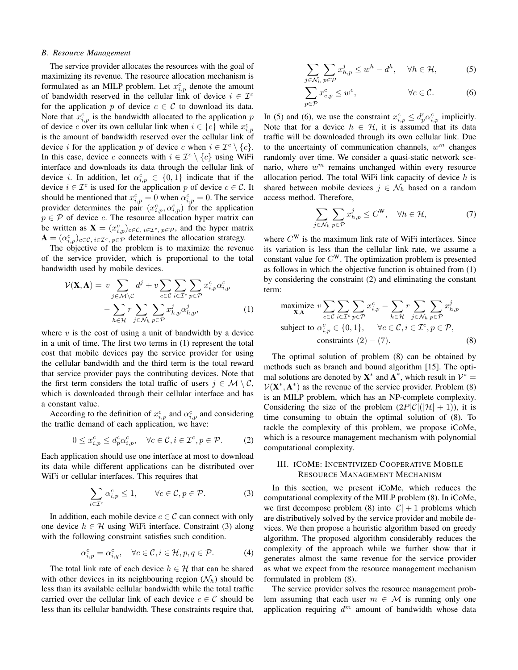### *B. Resource Management*

The service provider allocates the resources with the goal of maximizing its revenue. The resource allocation mechanism is formulated as an MILP problem. Let  $x_{i,p}^c$  denote the amount of bandwidth reserved in the cellular link of device  $i \in \mathcal{I}^c$ for the application p of device  $c \in \mathcal{C}$  to download its data. Note that  $x_{i,p}^c$  is the bandwidth allocated to the application  $p$ of device *c* over its own cellular link when  $i \in \{c\}$  while  $x_{i,p}^c$ is the amount of bandwidth reserved over the cellular link of device *i* for the application *p* of device *c* when  $i \in \mathcal{I}^c \setminus \{c\}$ . In this case, device *c* connects with  $i \in \mathcal{I}^c \setminus \{c\}$  using WiFi interface and downloads its data through the cellular link of device *i*. In addition, let  $\alpha_{i,p}^c \in \{0,1\}$  indicate that if the device  $i \in \mathcal{I}^c$  is used for the application p of device  $c \in \mathcal{C}$ . It should be mentioned that  $x_{i,p}^c = 0$  when  $\alpha_{i,p}^c = 0$ . The service provider determines the pair  $(x_{i,p}^c, \alpha_{i,p}^c)$  for the application  $p \in \mathcal{P}$  of device *c*. The resource allocation hyper matrix can be written as  $\mathbf{X} = (x_{i,p}^c)_{c \in \mathcal{C}, i \in \mathcal{I}^c, p \in \mathcal{P}}$ , and the hyper matrix  $\mathbf{A} = (\alpha_{i,p}^c)_{c \in \mathcal{C}, i \in \mathcal{I}^c, p \in \mathcal{P}}$  determines the allocation strategy.

The objective of the problem is to maximize the revenue of the service provider, which is proportional to the total bandwidth used by mobile devices.

$$
\mathcal{V}(\mathbf{X}, \mathbf{A}) = v \sum_{j \in \mathcal{M} \setminus \mathcal{C}} d^j + v \sum_{c \in \mathcal{C}} \sum_{i \in \mathcal{I}^c} \sum_{p \in \mathcal{P}} x_{i, p}^c \alpha_{i, p}^c
$$

$$
- \sum_{h \in \mathcal{H}} r \sum_{j \in \mathcal{N}_h} \sum_{p \in \mathcal{P}} x_{h, p}^j \alpha_{h, p}^j,
$$
(1)

where  $v$  is the cost of using a unit of bandwidth by a device in a unit of time. The first two terms in (1) represent the total cost that mobile devices pay the service provider for using the cellular bandwidth and the third term is the total reward that service provider pays the contributing devices. Note that the first term considers the total traffic of users  $j \in M \setminus C$ , which is downloaded through their cellular interface and has a constant value.

According to the definition of  $x_{i,p}^c$  and  $\alpha_{i,p}^c$  and considering the traffic demand of each application, we have:

$$
0 \le x_{i,p}^c \le d_p^c \alpha_{i,p}^c, \quad \forall c \in \mathcal{C}, i \in \mathcal{I}^c, p \in \mathcal{P}.
$$
 (2)

Each application should use one interface at most to download its data while different applications can be distributed over WiFi or cellular interfaces. This requires that

$$
\sum_{i \in \mathcal{I}^c} \alpha_{i,p}^c \le 1, \qquad \forall c \in \mathcal{C}, p \in \mathcal{P}.
$$
 (3)

In addition, each mobile device  $c \in \mathcal{C}$  can connect with only one device  $h \in \mathcal{H}$  using WiFi interface. Constraint (3) along with the following constraint satisfies such condition.

$$
\alpha_{i,p}^c = \alpha_{i,q}^c, \quad \forall c \in \mathcal{C}, i \in \mathcal{H}, p, q \in \mathcal{P}.
$$
 (4)

The total link rate of each device  $h \in \mathcal{H}$  that can be shared with other devices in its neighbouring region  $(\mathcal{N}_h)$  should be less than its available cellular bandwidth while the total traffic carried over the cellular link of each device  $c \in \mathcal{C}$  should be less than its cellular bandwidth. These constraints require that,

$$
\sum_{j \in \mathcal{N}_h} \sum_{p \in \mathcal{P}} x_{h,p}^j \le w^h - d^h, \quad \forall h \in \mathcal{H}, \tag{5}
$$

$$
\sum_{p \in \mathcal{P}} x_{c,p}^c \le w^c, \qquad \forall c \in \mathcal{C}.
$$
 (6)

In (5) and (6), we use the constraint  $x_{i,p}^c \leq d_p^c \alpha_{i,p}^c$  implicitly. Note that for a device  $h \in \mathcal{H}$ , it is assumed that its data traffic will be downloaded through its own cellular link. Due to the uncertainty of communication channels, *w<sup>m</sup>* changes randomly over time. We consider a quasi-static network scenario, where  $w^m$  remains unchanged within every resource allocation period. The total WiFi link capacity of device *h* is shared between mobile devices  $j \in \mathcal{N}_h$  based on a random access method. Therefore,

$$
\sum_{j \in \mathcal{N}_h} \sum_{p \in \mathcal{P}} x_{h,p}^j \le C^{\mathbf{W}}, \quad \forall h \in \mathcal{H}, \tag{7}
$$

where *C*<sup>W</sup> is the maximum link rate of WiFi interfaces. Since its variation is less than the cellular link rate, we assume a constant value for *C*W. The optimization problem is presented as follows in which the objective function is obtained from (1) by considering the constraint (2) and eliminating the constant term:

maximize 
$$
v \sum_{c \in C} \sum_{i \in \mathcal{I}^c} \sum_{p \in \mathcal{P}} x_{i,p}^c - \sum_{h \in \mathcal{H}} r \sum_{j \in \mathcal{N}_h} \sum_{p \in \mathcal{P}} x_{h,p}^j
$$
  
subject to  $\alpha_{i,p}^c \in \{0,1\}$ ,  $\forall c \in \mathcal{C}, i \in \mathcal{I}^c, p \in \mathcal{P}$ ,  
constraints (2) – (7). (8)

The optimal solution of problem (8) can be obtained by methods such as branch and bound algorithm [15]. The optimal solutions are denoted by  $X^*$  and  $A^*$ , which result in  $V^* =$  $V(X^*, A^*)$  as the revenue of the service provider. Problem (8) is an MILP problem, which has an NP-complete complexity. Considering the size of the problem  $(2P|\mathcal{C}|(|\mathcal{H}|+1))$ , it is time consuming to obtain the optimal solution of (8). To tackle the complexity of this problem, we propose iCoMe, which is a resource management mechanism with polynomial computational complexity.

## III. ICOME: INCENTIVIZED COOPERATIVE MOBILE RESOURCE MANAGEMENT MECHANISM

In this section, we present iCoMe, which reduces the computational complexity of the MILP problem (8). In iCoMe, we first decompose problem (8) into  $|\mathcal{C}| + 1$  problems which are distributively solved by the service provider and mobile devices. We then propose a heuristic algorithm based on greedy algorithm. The proposed algorithm considerably reduces the complexity of the approach while we further show that it generates almost the same revenue for the service provider as what we expect from the resource management mechanism formulated in problem (8).

The service provider solves the resource management problem assuming that each user  $m \in \mathcal{M}$  is running only one application requiring *d<sup>m</sup>* amount of bandwidth whose data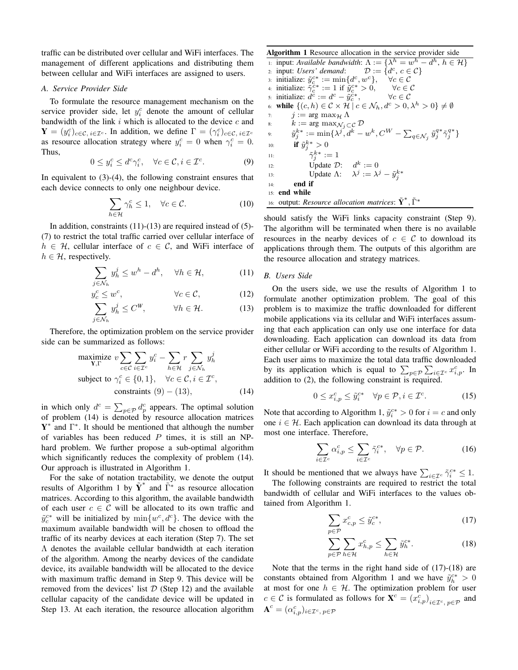traffic can be distributed over cellular and WiFi interfaces. The management of different applications and distributing them between cellular and WiFi interfaces are assigned to users.

#### *A. Service Provider Side*

To formulate the resource management mechanism on the service provider side, let  $y_i^c$  denote the amount of cellular bandwidth of the link *i* which is allocated to the device *c* and  $\mathbf{Y} = (y_i^c)_{c \in \mathcal{C}, i \in \mathcal{I}^c}$ . In addition, we define  $\Gamma = (\gamma_i^c)_{c \in \mathcal{C}, i \in \mathcal{I}^c}$ as resource allocation strategy where  $y_i^c = 0$  when  $\gamma_i^c = 0$ . Thus,

$$
0 \le y_i^c \le d^c \gamma_i^c, \quad \forall c \in \mathcal{C}, i \in \mathcal{I}^c. \tag{9}
$$

In equivalent to (3)-(4), the following constraint ensures that each device connects to only one neighbour device.

$$
\sum_{h \in \mathcal{H}} \gamma_h^c \le 1, \quad \forall c \in \mathcal{C}.\tag{10}
$$

In addition, constraints  $(11)-(13)$  are required instead of  $(5)$ -(7) to restrict the total traffic carried over cellular interface of  $h \in \mathcal{H}$ , cellular interface of  $c \in \mathcal{C}$ , and WiFi interface of  $h \in \mathcal{H}$ , respectively.

$$
\sum_{j \in \mathcal{N}_h} y_h^j \le w^h - d^h, \quad \forall h \in \mathcal{H}, \tag{11}
$$

$$
y_c^c \le w^c, \qquad \forall c \in \mathcal{C}, \qquad (12)
$$

$$
\sum_{j \in \mathcal{N}_h} y_h^j \le C^W, \qquad \forall h \in \mathcal{H}.
$$
 (13)

Therefore, the optimization problem on the service provider side can be summarized as follows:

maximize 
$$
v \sum_{c \in C} \sum_{i \in T^c} y_i^c - \sum_{h \in \mathcal{H}} r \sum_{j \in \mathcal{N}_h} y_h^j
$$
  
subject to  $\gamma_i^c \in \{0, 1\}$ ,  $\forall c \in C, i \in \mathcal{I}^c$ ,  
constraints (9) – (13), (14)

in which only  $d^c = \sum_{p \in \mathcal{P}} d_p^c$  appears. The optimal solution of problem (14) is denoted by resource allocation matrices Y*⇤* and Γ*⇤*. It should be mentioned that although the number of variables has been reduced *P* times, it is still an NPhard problem. We further propose a sub-optimal algorithm which significantly reduces the complexity of problem (14). Our approach is illustrated in Algorithm 1.

For the sake of notation tractability, we denote the output results of Algorithm 1 by  $\tilde{Y}^*$  and  $\tilde{\Gamma}^*$  as resource allocation matrices. According to this algorithm, the available bandwidth of each user  $c \in \mathcal{C}$  will be allocated to its own traffic and  $\tilde{y}_c^{c*}$  will be initialized by  $\min\{w^c, d^c\}$ . The device with the maximum available bandwidth will be chosen to offload the traffic of its nearby devices at each iteration (Step 7). The set  $\Lambda$  denotes the available cellular bandwidth at each iteration of the algorithm. Among the nearby devices of the candidate device, its available bandwidth will be allocated to the device with maximum traffic demand in Step 9. This device will be removed from the devices' list  $D$  (Step 12) and the available cellular capacity of the candidate device will be updated in Step 13. At each iteration, the resource allocation algorithm Algorithm 1 Resource allocation in the service provider side 1: input: *Available bandwidth*:  $\Lambda := {\lambda^h = w^h - d^h, h \in \mathcal{H}}$ <br>
2: input: *Users' demand*:  $\mathcal{D} := {d^c, c \in \mathcal{C}}$ 2: input: *Users' demand*:  $\mathcal{D} := \{d^c, c \in \mathcal{C}\}\$ <br>3: initialize:  $\tilde{y}_c^{c*} := \min\{d^c, w^c\}, \quad \forall c \in \mathcal{C}\$ <br>4: initialize:  $\tilde{\gamma}_c^{c*} := 1$  if  $\tilde{y}_{c}^{c*} > 0, \quad \forall c \in \mathcal{C}$ 5: initialize:  $d^c := d^c - \tilde{y}_c^{c*}, \qquad \forall c \in \mathcal{C}$ 6: while  $\{(c, h) \in \mathcal{C} \times \mathcal{H} \mid c \in \mathcal{N}_h, d^c > 0, \lambda^h > 0\} \neq \emptyset$ 7:  $j := \arg \max_{\mathcal{H}} \Lambda$ <br>8:  $k := \arg \max_{\mathcal{M} \subset \mathcal{C}}$ 8:  $k := \arg \max_{\mathcal{N}_j \subset \mathcal{C}} \mathcal{D}$ 9:  $\tilde{y}_j^{k*}:=\min\{\lambda^j,d^k-w^k,C^W-\sum_{q\in \mathcal{N}_j}\tilde{y}_j^{q*}\tilde{\gamma}_j^{q*}\}$ 10: **if**  $\tilde{y}_j^{k*} > 0$ 11:  $\tilde{\gamma}_j^{k*} := 1$ 12: Update  $\mathcal{D}: d^k := 0$ 13: Update  $\Lambda$ :  $\lambda^j := \lambda^j - \tilde{y}_j^{k*}$ 14: end if 15: end while 16: output: *Resource allocation matrices*:  $\tilde{\mathbf{Y}}^*, \tilde{\Gamma}^*$ 

should satisfy the WiFi links capacity constraint (Step 9). The algorithm will be terminated when there is no available resources in the nearby devices of  $c \in \mathcal{C}$  to download its applications through them. The outputs of this algorithm are the resource allocation and strategy matrices.

#### *B. Users Side*

On the users side, we use the results of Algorithm 1 to formulate another optimization problem. The goal of this problem is to maximize the traffic downloaded for different mobile applications via its cellular and WiFi interfaces assuming that each application can only use one interface for data downloading. Each application can download its data from either cellular or WiFi according to the results of Algorithm 1. Each user aims to maximize the total data traffic downloaded by its application which is equal to  $\sum_{p \in \mathcal{P}} \sum_{i \in \mathcal{I}^c} x_{i,p}^c$ . In addition to (2), the following constraint is required.

$$
0 \le x_{i,p}^c \le \tilde{y}_i^{c*} \quad \forall p \in \mathcal{P}, i \in \mathcal{I}^c. \tag{15}
$$

Note that according to Algorithm 1,  $\tilde{y}_i^{c*} > 0$  for  $i = c$  and only one  $i \in \mathcal{H}$ . Each application can download its data through at most one interface. Therefore,

$$
\sum_{i \in \mathcal{I}^c} \alpha_{i,p}^c \le \sum_{i \in \mathcal{I}^c} \tilde{\gamma}_i^{c*}, \quad \forall p \in \mathcal{P}.
$$
 (16)

It should be mentioned that we always have  $\sum_{i \in \mathcal{I}^c} \tilde{\gamma}_i^{c*} \leq 1$ .

The following constraints are required to restrict the total bandwidth of cellular and WiFi interfaces to the values obtained from Algorithm 1.

$$
\sum_{p \in \mathcal{P}} x_{c,p}^c \le \tilde{y}_c^{c*},\tag{17}
$$

$$
\sum_{p \in \mathcal{P}} \sum_{h \in \mathcal{H}} x_{h,p}^c \le \sum_{h \in \mathcal{H}} \tilde{y}_h^{c*}.
$$
 (18)

Note that the terms in the right hand side of (17)-(18) are constants obtained from Algorithm 1 and we have  $\tilde{y}_{h}^{c*} > 0$ at most for one  $h \in \mathcal{H}$ . The optimization problem for user  $c \in \mathcal{C}$  is formulated as follows for  $\mathbf{X}^c = (x^c_{i,p})_{i \in \mathcal{I}^c, p \in \mathcal{P}}$  and  $\mathbf{A}^c = (\alpha_{i,p}^c)_{i \in \mathcal{I}^c, p \in \mathcal{P}}$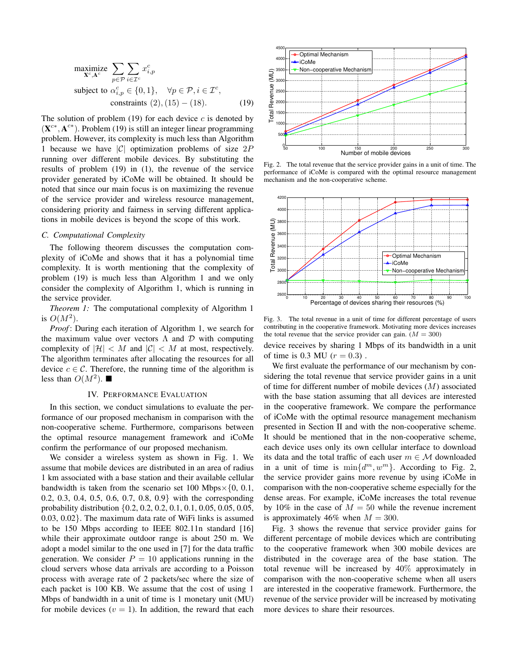$$
\begin{array}{ll}\n\text{maximize} & \sum_{p \in \mathcal{P}} \sum_{i \in \mathcal{I}^c} x_{i,p}^c \\
\text{subject to} & \alpha_{i,p}^c \in \{0, 1\}, \quad \forall p \in \mathcal{P}, i \in \mathcal{I}^c, \\
& \text{constraints} \ (2), (15) - (18).\n\end{array} \tag{19}
$$

The solution of problem  $(19)$  for each device *c* is denoted by  $(X^{c*}, A^{c*})$ . Problem (19) is still an integer linear programming problem. However, its complexity is much less than Algorithm 1 because we have *|C|* optimization problems of size 2*P* running over different mobile devices. By substituting the results of problem (19) in (1), the revenue of the service provider generated by iCoMe will be obtained. It should be noted that since our main focus is on maximizing the revenue of the service provider and wireless resource management, considering priority and fairness in serving different applications in mobile devices is beyond the scope of this work.

## *C. Computational Complexity*

The following theorem discusses the computation complexity of iCoMe and shows that it has a polynomial time complexity. It is worth mentioning that the complexity of problem (19) is much less than Algorithm 1 and we only consider the complexity of Algorithm 1, which is running in the service provider.

*Theorem 1:* The computational complexity of Algorithm 1 is  $O(M^2)$ .

*Proof*: During each iteration of Algorithm 1, we search for the maximum value over vectors  $\Lambda$  and  $\mathcal D$  with computing complexity of  $|\mathcal{H}| < M$  and  $|\mathcal{C}| < M$  at most, respectively. The algorithm terminates after allocating the resources for all device  $c \in \mathcal{C}$ . Therefore, the running time of the algorithm is less than  $O(M^2)$ .

### IV. PERFORMANCE EVALUATION

In this section, we conduct simulations to evaluate the performance of our proposed mechanism in comparison with the non-cooperative scheme. Furthermore, comparisons between the optimal resource management framework and iCoMe confirm the performance of our proposed mechanism.

We consider a wireless system as shown in Fig. 1. We assume that mobile devices are distributed in an area of radius 1 km associated with a base station and their available cellular bandwidth is taken from the scenario set  $100$  Mbps $\times$ {0, 0.1, 0.2, 0.3, 0.4, 0.5, 0.6, 0.7, 0.8, 0.9*}* with the corresponding probability distribution *{*0.2, 0.2, 0.2, 0.1, 0.1, 0.05, 0.05, 0.05, 0.03, 0.02*}*. The maximum data rate of WiFi links is assumed to be 150 Mbps according to IEEE 802.11n standard [16] while their approximate outdoor range is about 250 m. We adopt a model similar to the one used in [7] for the data traffic generation. We consider  $P = 10$  applications running in the cloud servers whose data arrivals are according to a Poisson process with average rate of 2 packets/sec where the size of each packet is 100 KB. We assume that the cost of using 1 Mbps of bandwidth in a unit of time is 1 monetary unit (MU) for mobile devices  $(v = 1)$ . In addition, the reward that each



Fig. 2. The total revenue that the service provider gains in a unit of time. The performance of iCoMe is compared with the optimal resource management mechanism and the non-cooperative scheme.



Fig. 3. The total revenue in a unit of time for different percentage of users contributing in the cooperative framework. Motivating more devices increases the total revenue that the service provider can gain.  $(M = 300)$ 

device receives by sharing 1 Mbps of its bandwidth in a unit of time is 0.3 MU ( $r = 0.3$ ).

We first evaluate the performance of our mechanism by considering the total revenue that service provider gains in a unit of time for different number of mobile devices (*M*) associated with the base station assuming that all devices are interested in the cooperative framework. We compare the performance of iCoMe with the optimal resource management mechanism presented in Section II and with the non-cooperative scheme. It should be mentioned that in the non-cooperative scheme, each device uses only its own cellular interface to download its data and the total traffic of each user  $m \in \mathcal{M}$  downloaded in a unit of time is  $\min\{d^m, w^m\}$ . According to Fig. 2, the service provider gains more revenue by using iCoMe in comparison with the non-cooperative scheme especially for the dense areas. For example, iCoMe increases the total revenue by 10% in the case of  $M = 50$  while the revenue increment is approximately 46% when  $M = 300$ .

Fig. 3 shows the revenue that service provider gains for different percentage of mobile devices which are contributing to the cooperative framework when 300 mobile devices are distributed in the coverage area of the base station. The total revenue will be increased by 40% approximately in comparison with the non-cooperative scheme when all users are interested in the cooperative framework. Furthermore, the revenue of the service provider will be increased by motivating more devices to share their resources.